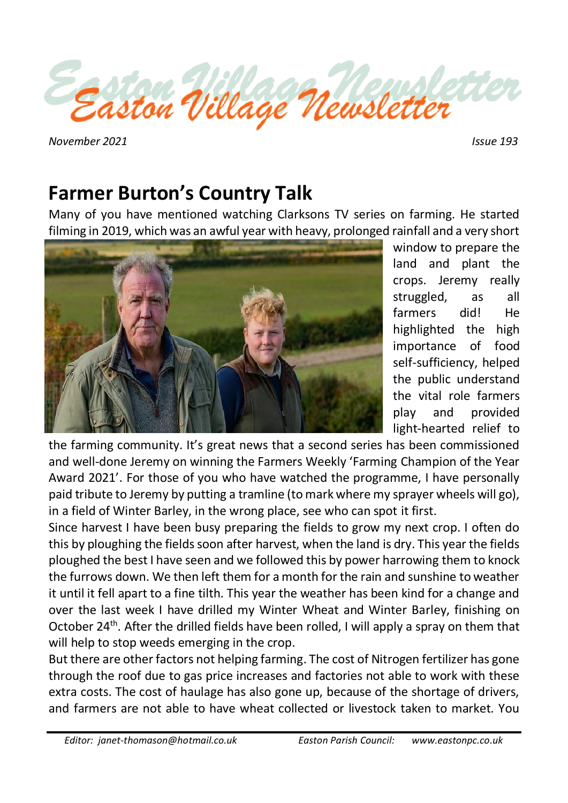

 *November 2021 Issue 193*

# **Farmer Burton's Country Talk**

Many of you have mentioned watching Clarksons TV series on farming. He started filming in 2019, which was an awful year with heavy, prolonged rainfall and a very short



window to prepare the land and plant the crops. Jeremy really struggled, as all farmers did! He highlighted the high importance of food self-sufficiency, helped the public understand the vital role farmers play and provided light-hearted relief to

the farming community. It's great news that a second series has been commissioned and well-done Jeremy on winning the Farmers Weekly 'Farming Champion of the Year Award 2021'. For those of you who have watched the programme, I have personally paid tribute to Jeremy by putting a tramline (to mark where my sprayer wheels will go), in a field of Winter Barley, in the wrong place, see who can spot it first.

Since harvest I have been busy preparing the fields to grow my next crop. I often do this by ploughing the fields soon after harvest, when the land is dry. This year the fields ploughed the best I have seen and we followed this by power harrowing them to knock the furrows down. We then left them for a month for the rain and sunshine to weather it until it fell apart to a fine tilth. This year the weather has been kind for a change and over the last week I have drilled my Winter Wheat and Winter Barley, finishing on October 24<sup>th</sup>. After the drilled fields have been rolled, I will apply a spray on them that will help to stop weeds emerging in the crop.

But there are other factors not helping farming. The cost of Nitrogen fertilizer has gone through the roof due to gas price increases and factories not able to work with these extra costs. The cost of haulage has also gone up, because of the shortage of drivers, and farmers are not able to have wheat collected or livestock taken to market. You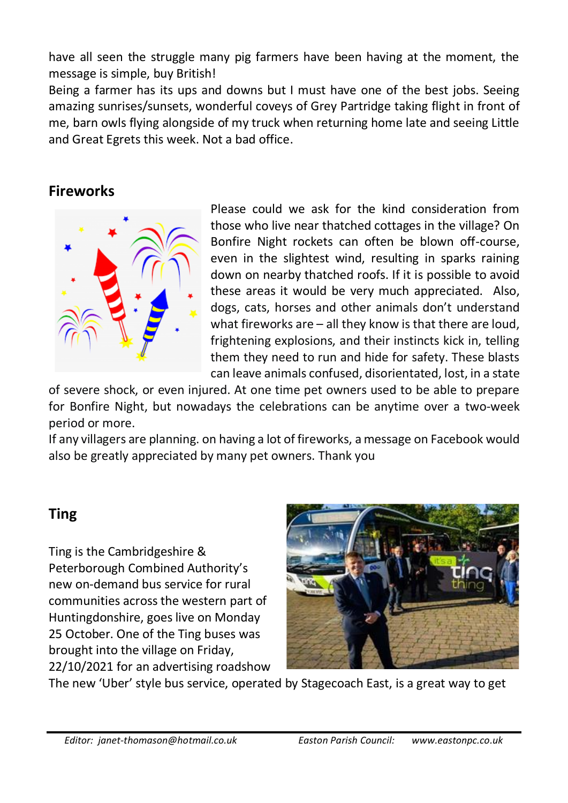have all seen the struggle many pig farmers have been having at the moment, the message is simple, buy British!

Being a farmer has its ups and downs but I must have one of the best jobs. Seeing amazing sunrises/sunsets, wonderful coveys of Grey Partridge taking flight in front of me, barn owls flying alongside of my truck when returning home late and seeing Little and Great Egrets this week. Not a bad office.

# **Fireworks**



Please could we ask for the kind consideration from those who live near thatched cottages in the village? On Bonfire Night rockets can often be blown off-course, even in the slightest wind, resulting in sparks raining down on nearby thatched roofs. If it is possible to avoid these areas it would be very much appreciated. Also, dogs, cats, horses and other animals don't understand what fireworks are – all they know is that there are loud, frightening explosions, and their instincts kick in, telling them they need to run and hide for safety. These blasts can leave animals confused, disorientated, lost, in a state

of severe shock, or even injured. At one time pet owners used to be able to prepare for Bonfire Night, but nowadays the celebrations can be anytime over a two-week period or more.

If any villagers are planning. on having a lot of fireworks, a message on Facebook would also be greatly appreciated by many pet owners. Thank you

# **Ting**

Ting is the Cambridgeshire & Peterborough Combined Authority's new on-demand bus service for rural communities across the western part of Huntingdonshire, goes live on Monday 25 October. One of the Ting buses was brought into the village on Friday, 22/10/2021 for an advertising roadshow



The new 'Uber' style bus service, operated by Stagecoach East, is a great way to get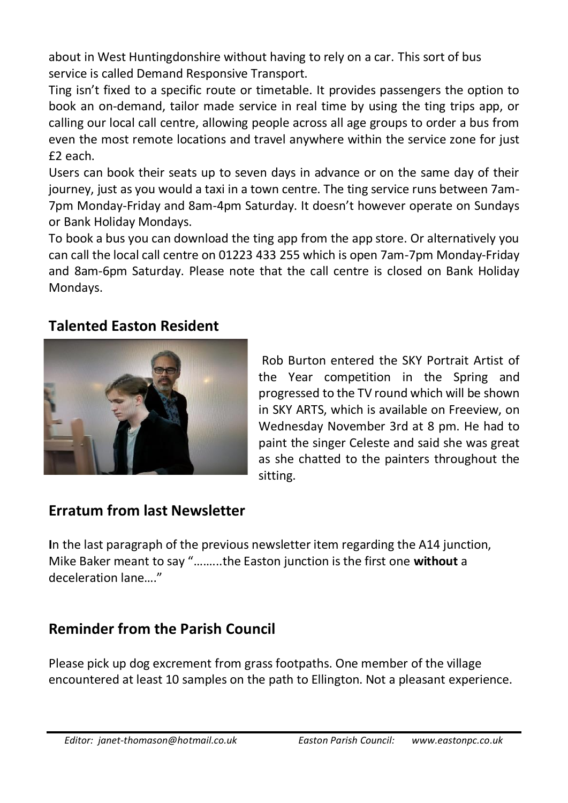about in West Huntingdonshire without having to rely on a car. This sort of bus service is called Demand Responsive Transport.

Ting isn't fixed to a specific route or timetable. It provides passengers the option to book an on-demand, tailor made service in real time by using the ting trips app, or calling our local call centre, allowing people across all age groups to order a bus from even the most remote locations and travel anywhere within the service zone for just £2 each.

Users can book their seats up to seven days in advance or on the same day of their journey, just as you would a taxi in a town centre. The ting service runs between 7am-7pm Monday-Friday and 8am-4pm Saturday. It doesn't however operate on Sundays or Bank Holiday Mondays.

To book a bus you can download the ting app from the app store. Or alternatively you can call the local call centre on 01223 433 255 which is open 7am-7pm Monday-Friday and 8am-6pm Saturday. Please note that the call centre is closed on Bank Holiday Mondays.

#### **Talented Easton Resident**



Rob Burton entered the SKY Portrait Artist of the Year competition in the Spring and progressed to the TV round which will be shown in SKY ARTS, which is available on Freeview, on Wednesday November 3rd at 8 pm. He had to paint the singer Celeste and said she was great as she chatted to the painters throughout the sitting.

## **Erratum from last Newsletter**

**I**n the last paragraph of the previous newsletter item regarding the A14 junction, Mike Baker meant to say "……...the Easton junction is the first one **without** a deceleration lane…."

## **Reminder from the Parish Council**

Please pick up dog excrement from grass footpaths. One member of the village encountered at least 10 samples on the path to Ellington. Not a pleasant experience.